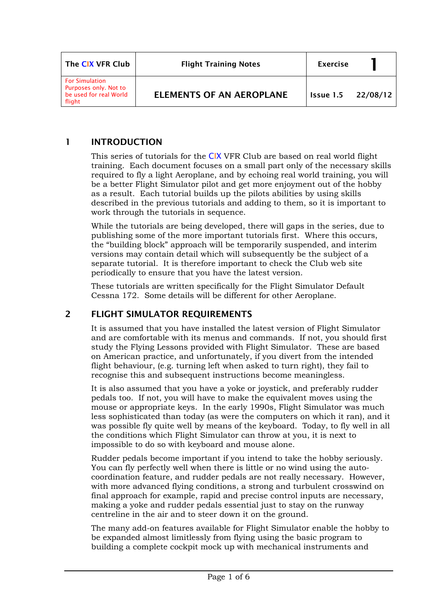| The CIX VFR Club                                                                   | <b>Flight Training Notes</b>    | <b>Exercise</b> |          |
|------------------------------------------------------------------------------------|---------------------------------|-----------------|----------|
| <b>For Simulation</b><br>Purposes only. Not to<br>be used for real World<br>flight | <b>ELEMENTS OF AN AEROPLANE</b> | Issue 1.5       | 22/08/12 |

## 1 INTRODUCTION

This series of tutorials for the CIX VFR Club are based on real world flight training. Each document focuses on a small part only of the necessary skills required to fly a light Aeroplane, and by echoing real world training, you will be a better Flight Simulator pilot and get more enjoyment out of the hobby as a result. Each tutorial builds up the pilots abilities by using skills described in the previous tutorials and adding to them, so it is important to work through the tutorials in sequence.

While the tutorials are being developed, there will gaps in the series, due to publishing some of the more important tutorials first. Where this occurs, the "building block" approach will be temporarily suspended, and interim versions may contain detail which will subsequently be the subject of a separate tutorial. It is therefore important to check the Club web site periodically to ensure that you have the latest version.

These tutorials are written specifically for the Flight Simulator Default Cessna 172. Some details will be different for other Aeroplane.

## 2 FLIGHT SIMULATOR REQUIREMENTS

It is assumed that you have installed the latest version of Flight Simulator and are comfortable with its menus and commands. If not, you should first study the Flying Lessons provided with Flight Simulator. These are based on American practice, and unfortunately, if you divert from the intended flight behaviour, (e.g. turning left when asked to turn right), they fail to recognise this and subsequent instructions become meaningless.

It is also assumed that you have a yoke or joystick, and preferably rudder pedals too. If not, you will have to make the equivalent moves using the mouse or appropriate keys. In the early 1990s, Flight Simulator was much less sophisticated than today (as were the computers on which it ran), and it was possible fly quite well by means of the keyboard. Today, to fly well in all the conditions which Flight Simulator can throw at you, it is next to impossible to do so with keyboard and mouse alone.

Rudder pedals become important if you intend to take the hobby seriously. You can fly perfectly well when there is little or no wind using the autocoordination feature, and rudder pedals are not really necessary. However, with more advanced flying conditions, a strong and turbulent crosswind on final approach for example, rapid and precise control inputs are necessary, making a yoke and rudder pedals essential just to stay on the runway centreline in the air and to steer down it on the ground.

The many add-on features available for Flight Simulator enable the hobby to be expanded almost limitlessly from flying using the basic program to building a complete cockpit mock up with mechanical instruments and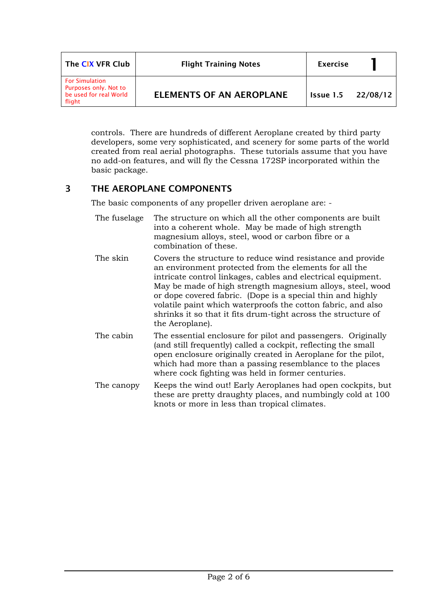| The CIX VFR Club                                                                   | <b>Flight Training Notes</b>    | <b>Exercise</b>             |  |
|------------------------------------------------------------------------------------|---------------------------------|-----------------------------|--|
| <b>For Simulation</b><br>Purposes only. Not to<br>be used for real World<br>flight | <b>ELEMENTS OF AN AEROPLANE</b> | <b>Issue 1.5</b> $22/08/12$ |  |

controls. There are hundreds of different Aeroplane created by third party developers, some very sophisticated, and scenery for some parts of the world created from real aerial photographs. These tutorials assume that you have no add-on features, and will fly the Cessna 172SP incorporated within the basic package.

## 3 THE AEROPLANE COMPONENTS

The basic components of any propeller driven aeroplane are: -

| The fuselage | The structure on which all the other components are built<br>into a coherent whole. May be made of high strength<br>magnesium alloys, steel, wood or carbon fibre or a<br>combination of these.                                                                                                                                                                                                                                                                      |
|--------------|----------------------------------------------------------------------------------------------------------------------------------------------------------------------------------------------------------------------------------------------------------------------------------------------------------------------------------------------------------------------------------------------------------------------------------------------------------------------|
| The skin     | Covers the structure to reduce wind resistance and provide<br>an environment protected from the elements for all the<br>intricate control linkages, cables and electrical equipment.<br>May be made of high strength magnesium alloys, steel, wood<br>or dope covered fabric. (Dope is a special thin and highly<br>volatile paint which waterproofs the cotton fabric, and also<br>shrinks it so that it fits drum-tight across the structure of<br>the Aeroplane). |
| The cabin    | The essential enclosure for pilot and passengers. Originally<br>(and still frequently) called a cockpit, reflecting the small<br>open enclosure originally created in Aeroplane for the pilot,<br>which had more than a passing resemblance to the places<br>where cock fighting was held in former centuries.                                                                                                                                                       |
| The canopy   | Keeps the wind out! Early Aeroplanes had open cockpits, but<br>these are pretty draughty places, and numbingly cold at 100                                                                                                                                                                                                                                                                                                                                           |

knots or more in less than tropical climates.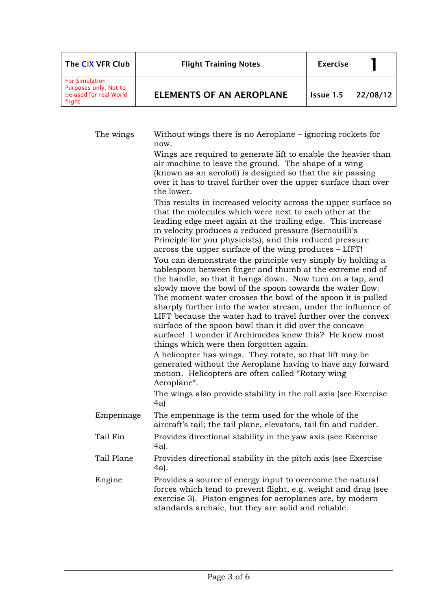| The CIX VFR Club                                                                   | <b>Flight Training Notes</b>    | <b>Exercise</b> |          |
|------------------------------------------------------------------------------------|---------------------------------|-----------------|----------|
| <b>For Simulation</b><br>Purposes only. Not to<br>be used for real World<br>flight | <b>ELEMENTS OF AN AEROPLANE</b> | Issue 1.5       | 22/08/12 |

| The wings  | Without wings there is no Aeroplane - ignoring rockets for<br>now.                                                                                                                                                                                                                                                                                                                                                                                                                                                                                                                                                |
|------------|-------------------------------------------------------------------------------------------------------------------------------------------------------------------------------------------------------------------------------------------------------------------------------------------------------------------------------------------------------------------------------------------------------------------------------------------------------------------------------------------------------------------------------------------------------------------------------------------------------------------|
|            | Wings are required to generate lift to enable the heavier than<br>air machine to leave the ground. The shape of a wing<br>(known as an aerofoil) is designed so that the air passing<br>over it has to travel further over the upper surface than over<br>the lower.                                                                                                                                                                                                                                                                                                                                              |
|            | This results in increased velocity across the upper surface so<br>that the molecules which were next to each other at the<br>leading edge meet again at the trailing edge. This increase<br>in velocity produces a reduced pressure (Bernouilli's<br>Principle for you physicists), and this reduced pressure<br>across the upper surface of the wing produces – LIFT!                                                                                                                                                                                                                                            |
|            | You can demonstrate the principle very simply by holding a<br>tablespoon between finger and thumb at the extreme end of<br>the handle, so that it hangs down. Now turn on a tap, and<br>slowly move the bowl of the spoon towards the water flow.<br>The moment water crosses the bowl of the spoon it is pulled<br>sharply further into the water stream, under the influence of<br>LIFT because the water had to travel further over the convex<br>surface of the spoon bowl than it did over the concave<br>surface! I wonder if Archimedes knew this? He knew most<br>things which were then forgotten again. |
|            | A helicopter has wings. They rotate, so that lift may be<br>generated without the Aeroplane having to have any forward<br>motion. Helicopters are often called "Rotary wing<br>Aeroplane".                                                                                                                                                                                                                                                                                                                                                                                                                        |
|            | The wings also provide stability in the roll axis (see Exercise<br>4a)                                                                                                                                                                                                                                                                                                                                                                                                                                                                                                                                            |
| Empennage  | The empennage is the term used for the whole of the<br>aircraft's tail; the tail plane, elevators, tail fin and rudder.                                                                                                                                                                                                                                                                                                                                                                                                                                                                                           |
| Tail Fin   | Provides directional stability in the yaw axis (see Exercise<br>4a).                                                                                                                                                                                                                                                                                                                                                                                                                                                                                                                                              |
| Tail Plane | Provides directional stability in the pitch axis (see Exercise<br>4a).                                                                                                                                                                                                                                                                                                                                                                                                                                                                                                                                            |
| Engine     | Provides a source of energy input to overcome the natural<br>forces which tend to prevent flight, e.g. weight and drag (see<br>exercise 3). Piston engines for aeroplanes are, by modern<br>standards archaic, but they are solid and reliable.                                                                                                                                                                                                                                                                                                                                                                   |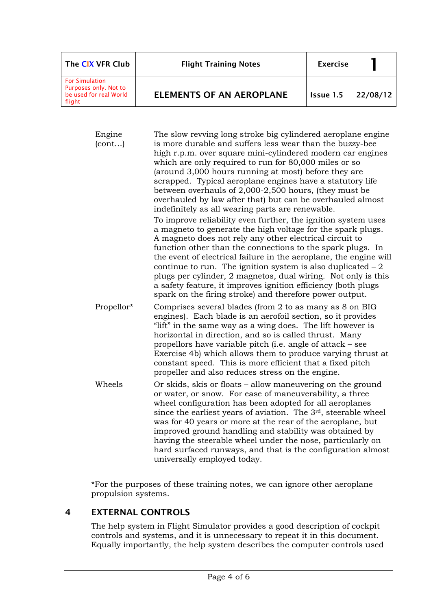| The CIX VFR Club                                                                   | <b>Flight Training Notes</b>    | <b>Exercise</b>    |  |
|------------------------------------------------------------------------------------|---------------------------------|--------------------|--|
| <b>For Simulation</b><br>Purposes only. Not to<br>be used for real World<br>flight | <b>ELEMENTS OF AN AEROPLANE</b> | Issue 1.5 22/08/12 |  |

Engine (cont…) The slow revving long stroke big cylindered aeroplane engine is more durable and suffers less wear than the buzzy-bee high r.p.m. over square mini-cylindered modern car engines which are only required to run for 80,000 miles or so (around 3,000 hours running at most) before they are scrapped. Typical aeroplane engines have a statutory life between overhauls of 2,000-2,500 hours, (they must be overhauled by law after that) but can be overhauled almost indefinitely as all wearing parts are renewable. To improve reliability even further, the ignition system uses a magneto to generate the high voltage for the spark plugs. A magneto does not rely any other electrical circuit to function other than the connections to the spark plugs. In the event of electrical failure in the aeroplane, the engine will continue to run. The ignition system is also duplicated  $-2$ plugs per cylinder, 2 magnetos, dual wiring. Not only is this a safety feature, it improves ignition efficiency (both plugs spark on the firing stroke) and therefore power output. Propellor\* Comprises several blades (from 2 to as many as 8 on BIG engines). Each blade is an aerofoil section, so it provides "lift" in the same way as a wing does. The lift however is horizontal in direction, and so is called thrust. Many propellors have variable pitch (i.e. angle of attack – see Exercise 4b) which allows them to produce varying thrust at constant speed. This is more efficient that a fixed pitch propeller and also reduces stress on the engine. Wheels Or skids, skis or floats – allow maneuvering on the ground or water, or snow. For ease of maneuverability, a three wheel configuration has been adopted for all aeroplanes since the earliest years of aviation. The 3<sup>rd</sup>, steerable wheel was for 40 years or more at the rear of the aeroplane, but improved ground handling and stability was obtained by having the steerable wheel under the nose, particularly on hard surfaced runways, and that is the configuration almost

\*For the purposes of these training notes, we can ignore other aeroplane propulsion systems.

universally employed today.

## 4 EXTERNAL CONTROLS

The help system in Flight Simulator provides a good description of cockpit controls and systems, and it is unnecessary to repeat it in this document. Equally importantly, the help system describes the computer controls used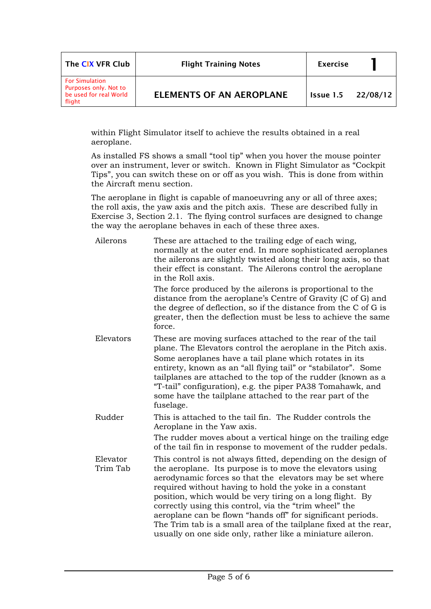| The CIX VFR Club                                                                   | <b>Flight Training Notes</b>    | <b>Exercise</b> |          |
|------------------------------------------------------------------------------------|---------------------------------|-----------------|----------|
| <b>For Simulation</b><br>Purposes only. Not to<br>be used for real World<br>flight | <b>ELEMENTS OF AN AEROPLANE</b> | Issue 1.5       | 22/08/12 |

within Flight Simulator itself to achieve the results obtained in a real aeroplane.

As installed FS shows a small "tool tip" when you hover the mouse pointer over an instrument, lever or switch. Known in Flight Simulator as "Cockpit Tips", you can switch these on or off as you wish. This is done from within the Aircraft menu section.

The aeroplane in flight is capable of manoeuvring any or all of three axes; the roll axis, the yaw axis and the pitch axis. These are described fully in Exercise 3, Section 2.1. The flying control surfaces are designed to change the way the aeroplane behaves in each of these three axes.

| Ailerons             | These are attached to the trailing edge of each wing,<br>normally at the outer end. In more sophisticated aeroplanes<br>the ailerons are slightly twisted along their long axis, so that<br>their effect is constant. The Ailerons control the aeroplane<br>in the Roll axis.                                                                                                                                                                                                                                                                                             |
|----------------------|---------------------------------------------------------------------------------------------------------------------------------------------------------------------------------------------------------------------------------------------------------------------------------------------------------------------------------------------------------------------------------------------------------------------------------------------------------------------------------------------------------------------------------------------------------------------------|
|                      | The force produced by the ailerons is proportional to the<br>distance from the aeroplane's Centre of Gravity (C of G) and<br>the degree of deflection, so if the distance from the C of G is<br>greater, then the deflection must be less to achieve the same<br>force.                                                                                                                                                                                                                                                                                                   |
| Elevators            | These are moving surfaces attached to the rear of the tail<br>plane. The Elevators control the aeroplane in the Pitch axis.<br>Some aeroplanes have a tail plane which rotates in its<br>entirety, known as an "all flying tail" or "stabilator". Some<br>tailplanes are attached to the top of the rudder (known as a<br>"T-tail" configuration), e.g. the piper PA38 Tomahawk, and<br>some have the tailplane attached to the rear part of the<br>fuselage.                                                                                                             |
| Rudder               | This is attached to the tail fin. The Rudder controls the<br>Aeroplane in the Yaw axis.<br>The rudder moves about a vertical hinge on the trailing edge<br>of the tail fin in response to movement of the rudder pedals.                                                                                                                                                                                                                                                                                                                                                  |
| Elevator<br>Trim Tab | This control is not always fitted, depending on the design of<br>the aeroplane. Its purpose is to move the elevators using<br>aerodynamic forces so that the elevators may be set where<br>required without having to hold the yoke in a constant<br>position, which would be very tiring on a long flight. By<br>correctly using this control, via the "trim wheel" the<br>aeroplane can be flown "hands off" for significant periods.<br>The Trim tab is a small area of the tailplane fixed at the rear,<br>usually on one side only, rather like a miniature aileron. |